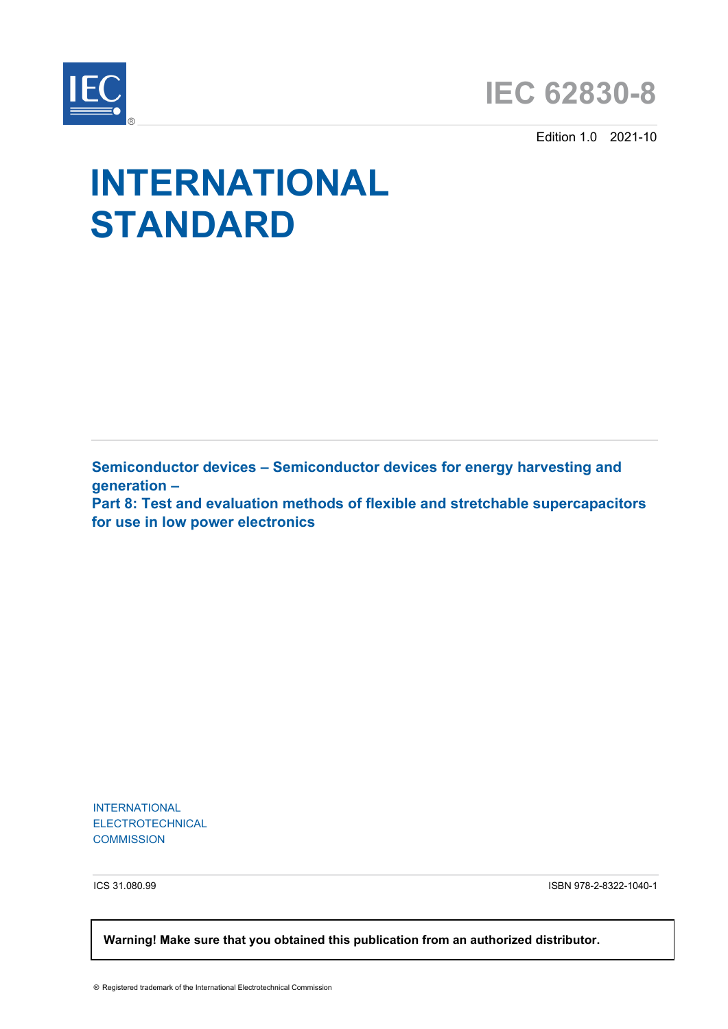



Edition 1.0 2021-10

# **INTERNATIONAL STANDARD**

**Semiconductor devices – Semiconductor devices for energy harvesting and generation –** 

**Part 8: Test and evaluation methods of flexible and stretchable supercapacitors for use in low power electronics**

INTERNATIONAL ELECTROTECHNICAL **COMMISSION** 

ICS 31.080.99 ISBN 978-2-8322-1040-1

 **Warning! Make sure that you obtained this publication from an authorized distributor.**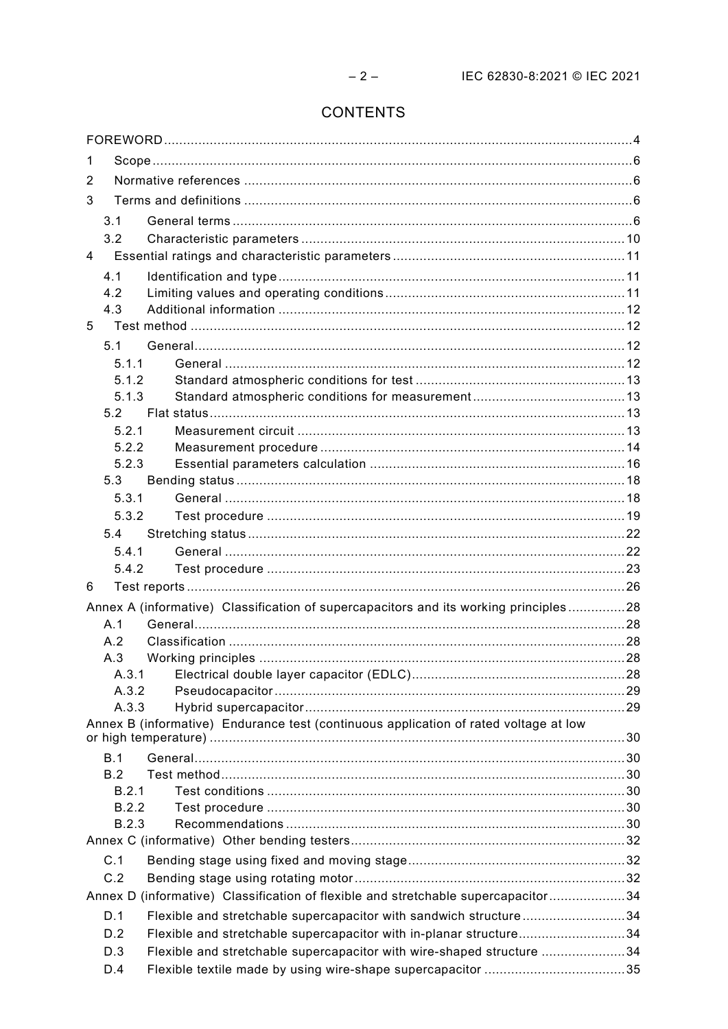# CONTENTS

| 1                                                                                    |                                                                                      |  |  |  |  |
|--------------------------------------------------------------------------------------|--------------------------------------------------------------------------------------|--|--|--|--|
| 2                                                                                    |                                                                                      |  |  |  |  |
| 3                                                                                    |                                                                                      |  |  |  |  |
| 3.1                                                                                  |                                                                                      |  |  |  |  |
| 3.2                                                                                  |                                                                                      |  |  |  |  |
| 4                                                                                    |                                                                                      |  |  |  |  |
| 4.1                                                                                  |                                                                                      |  |  |  |  |
| 4.2                                                                                  |                                                                                      |  |  |  |  |
| 4.3                                                                                  |                                                                                      |  |  |  |  |
| 5                                                                                    |                                                                                      |  |  |  |  |
| 5.1                                                                                  |                                                                                      |  |  |  |  |
| 5.1.1                                                                                |                                                                                      |  |  |  |  |
| 5.1.2                                                                                |                                                                                      |  |  |  |  |
| 5.1.3                                                                                |                                                                                      |  |  |  |  |
| 5.2                                                                                  |                                                                                      |  |  |  |  |
| 5.2.1                                                                                |                                                                                      |  |  |  |  |
| 5.2.2                                                                                |                                                                                      |  |  |  |  |
| 5.2.3                                                                                |                                                                                      |  |  |  |  |
| 5.3                                                                                  |                                                                                      |  |  |  |  |
| 5.3.1                                                                                |                                                                                      |  |  |  |  |
| 5.3.2                                                                                |                                                                                      |  |  |  |  |
| 5.4                                                                                  |                                                                                      |  |  |  |  |
| 5.4.1                                                                                |                                                                                      |  |  |  |  |
| 5.4.2                                                                                |                                                                                      |  |  |  |  |
| 6                                                                                    |                                                                                      |  |  |  |  |
|                                                                                      | Annex A (informative) Classification of supercapacitors and its working principles28 |  |  |  |  |
| A.1                                                                                  |                                                                                      |  |  |  |  |
| A.2                                                                                  |                                                                                      |  |  |  |  |
| A.3                                                                                  |                                                                                      |  |  |  |  |
| A.3.1                                                                                |                                                                                      |  |  |  |  |
| A.3.2                                                                                |                                                                                      |  |  |  |  |
| A.3.3                                                                                |                                                                                      |  |  |  |  |
| Annex B (informative) Endurance test (continuous application of rated voltage at low |                                                                                      |  |  |  |  |
| B.1                                                                                  |                                                                                      |  |  |  |  |
| B.2                                                                                  |                                                                                      |  |  |  |  |
| B.2.1                                                                                |                                                                                      |  |  |  |  |
| B.2.2                                                                                |                                                                                      |  |  |  |  |
| B.2.3                                                                                |                                                                                      |  |  |  |  |
|                                                                                      |                                                                                      |  |  |  |  |
| C.1                                                                                  |                                                                                      |  |  |  |  |
| C.2                                                                                  |                                                                                      |  |  |  |  |
| Annex D (informative) Classification of flexible and stretchable supercapacitor34    |                                                                                      |  |  |  |  |
| D.1                                                                                  | Flexible and stretchable supercapacitor with sandwich structure34                    |  |  |  |  |
| D.2                                                                                  | Flexible and stretchable supercapacitor with in-planar structure34                   |  |  |  |  |
| D.3                                                                                  | Flexible and stretchable supercapacitor with wire-shaped structure 34                |  |  |  |  |
| D.4                                                                                  |                                                                                      |  |  |  |  |
|                                                                                      |                                                                                      |  |  |  |  |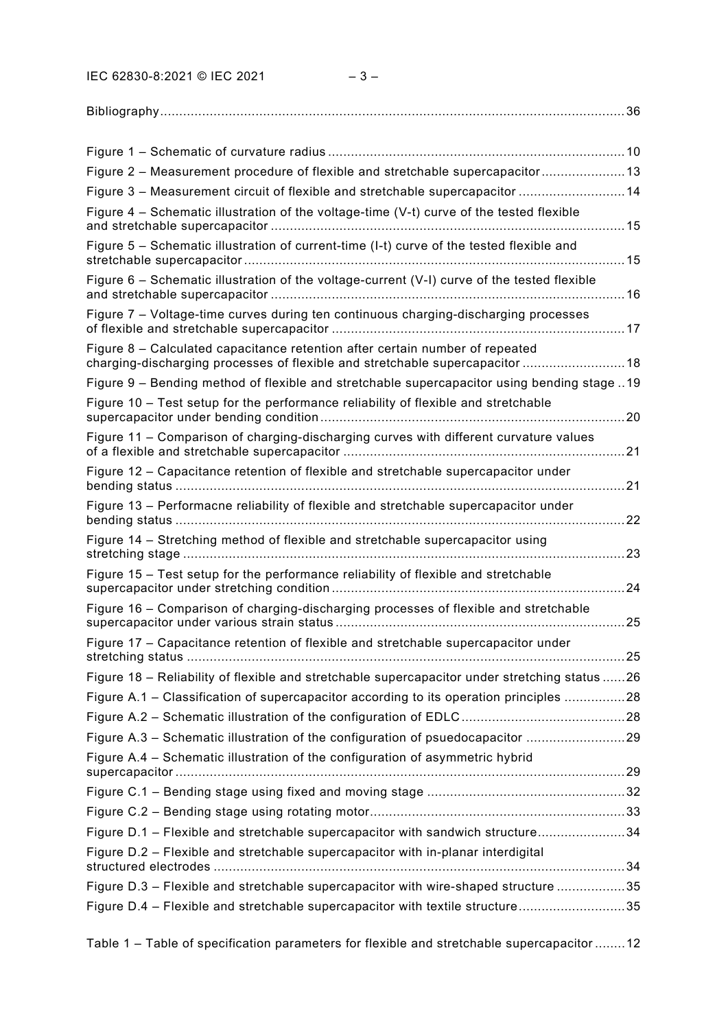IEC 62830-8:2021 © IEC 2021 – 3 –

| Figure 2 - Measurement procedure of flexible and stretchable supercapacitor13                                                                                 |  |
|---------------------------------------------------------------------------------------------------------------------------------------------------------------|--|
| Figure 3 - Measurement circuit of flexible and stretchable supercapacitor  14                                                                                 |  |
| Figure 4 - Schematic illustration of the voltage-time (V-t) curve of the tested flexible                                                                      |  |
| Figure 5 - Schematic illustration of current-time (I-t) curve of the tested flexible and                                                                      |  |
| Figure 6 - Schematic illustration of the voltage-current (V-I) curve of the tested flexible                                                                   |  |
| Figure 7 - Voltage-time curves during ten continuous charging-discharging processes                                                                           |  |
| Figure 8 – Calculated capacitance retention after certain number of repeated<br>charging-discharging processes of flexible and stretchable supercapacitor  18 |  |
| Figure 9 - Bending method of flexible and stretchable supercapacitor using bending stage 19                                                                   |  |
| Figure 10 – Test setup for the performance reliability of flexible and stretchable                                                                            |  |
| Figure 11 - Comparison of charging-discharging curves with different curvature values                                                                         |  |
| Figure 12 - Capacitance retention of flexible and stretchable supercapacitor under                                                                            |  |
| Figure 13 - Performacne reliability of flexible and stretchable supercapacitor under                                                                          |  |
| Figure 14 - Stretching method of flexible and stretchable supercapacitor using                                                                                |  |
| Figure 15 - Test setup for the performance reliability of flexible and stretchable                                                                            |  |
| Figure 16 – Comparison of charging-discharging processes of flexible and stretchable                                                                          |  |
| Figure 17 – Capacitance retention of flexible and stretchable supercapacitor under                                                                            |  |
| Figure 18 - Reliability of flexible and stretchable supercapacitor under stretching status 26                                                                 |  |
| Figure A.1 – Classification of supercapacitor according to its operation principles 28                                                                        |  |
|                                                                                                                                                               |  |
| Figure A.3 - Schematic illustration of the configuration of psuedocapacitor 29                                                                                |  |
| Figure A.4 - Schematic illustration of the configuration of asymmetric hybrid                                                                                 |  |
|                                                                                                                                                               |  |
|                                                                                                                                                               |  |
| Figure D.1 - Flexible and stretchable supercapacitor with sandwich structure34                                                                                |  |
| Figure D.2 - Flexible and stretchable supercapacitor with in-planar interdigital                                                                              |  |
| Figure D.3 - Flexible and stretchable supercapacitor with wire-shaped structure 35                                                                            |  |
| Figure D.4 - Flexible and stretchable supercapacitor with textile structure35                                                                                 |  |

Table 1 – Table of specification parameters for flexible and stretchable supercapacitor ........12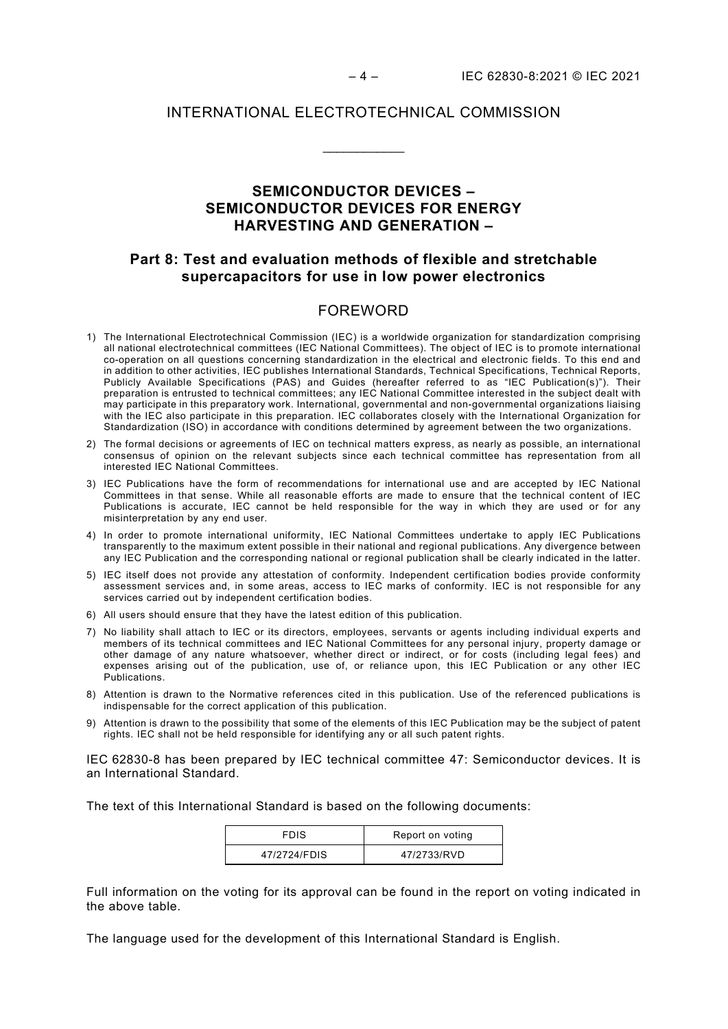### INTERNATIONAL ELECTROTECHNICAL COMMISSION

\_\_\_\_\_\_\_\_\_\_\_\_

## **SEMICONDUCTOR DEVICES – SEMICONDUCTOR DEVICES FOR ENERGY HARVESTING AND GENERATION –**

## **Part 8: Test and evaluation methods of flexible and stretchable supercapacitors for use in low power electronics**

## FOREWORD

- <span id="page-3-0"></span>1) The International Electrotechnical Commission (IEC) is a worldwide organization for standardization comprising all national electrotechnical committees (IEC National Committees). The object of IEC is to promote international co-operation on all questions concerning standardization in the electrical and electronic fields. To this end and in addition to other activities, IEC publishes International Standards, Technical Specifications, Technical Reports, Publicly Available Specifications (PAS) and Guides (hereafter referred to as "IEC Publication(s)"). Their preparation is entrusted to technical committees; any IEC National Committee interested in the subject dealt with may participate in this preparatory work. International, governmental and non-governmental organizations liaising with the IEC also participate in this preparation. IEC collaborates closely with the International Organization for Standardization (ISO) in accordance with conditions determined by agreement between the two organizations.
- 2) The formal decisions or agreements of IEC on technical matters express, as nearly as possible, an international consensus of opinion on the relevant subjects since each technical committee has representation from all interested IEC National Committees.
- 3) IEC Publications have the form of recommendations for international use and are accepted by IEC National Committees in that sense. While all reasonable efforts are made to ensure that the technical content of IEC Publications is accurate, IEC cannot be held responsible for the way in which they are used or for any misinterpretation by any end user.
- 4) In order to promote international uniformity, IEC National Committees undertake to apply IEC Publications transparently to the maximum extent possible in their national and regional publications. Any divergence between any IEC Publication and the corresponding national or regional publication shall be clearly indicated in the latter.
- 5) IEC itself does not provide any attestation of conformity. Independent certification bodies provide conformity assessment services and, in some areas, access to IEC marks of conformity. IEC is not responsible for any services carried out by independent certification bodies.
- 6) All users should ensure that they have the latest edition of this publication.
- 7) No liability shall attach to IEC or its directors, employees, servants or agents including individual experts and members of its technical committees and IEC National Committees for any personal injury, property damage or other damage of any nature whatsoever, whether direct or indirect, or for costs (including legal fees) and expenses arising out of the publication, use of, or reliance upon, this IEC Publication or any other IEC Publications.
- 8) Attention is drawn to the Normative references cited in this publication. Use of the referenced publications is indispensable for the correct application of this publication.
- 9) Attention is drawn to the possibility that some of the elements of this IEC Publication may be the subject of patent rights. IEC shall not be held responsible for identifying any or all such patent rights.

IEC 62830-8 has been prepared by IEC technical committee 47: Semiconductor devices. It is an International Standard.

The text of this International Standard is based on the following documents:

| <b>FDIS</b>  | Report on voting |
|--------------|------------------|
| 47/2724/FDIS | 47/2733/RVD      |

Full information on the voting for its approval can be found in the report on voting indicated in the above table.

The language used for the development of this International Standard is English.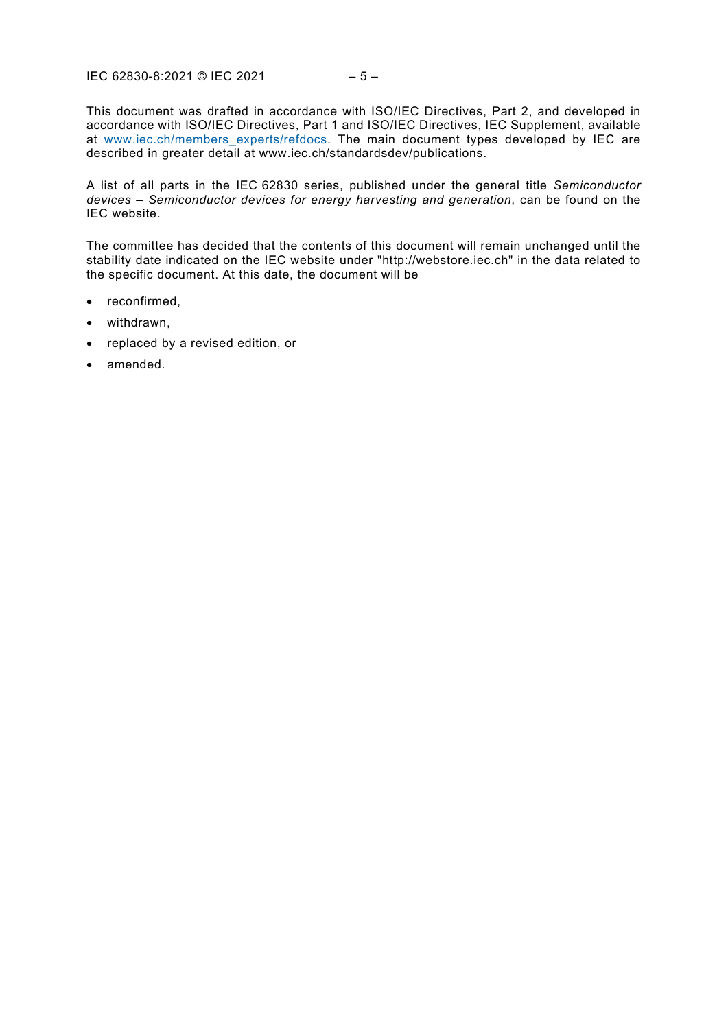This document was drafted in accordance with ISO/IEC Directives, Part 2, and developed in accordance with ISO/IEC Directives, Part 1 and ISO/IEC Directives, IEC Supplement, available at [www.iec.ch/members\\_experts/refdocs.](http://www.iec.ch/members_experts/refdocs) The main document types developed by IEC are described in greater detail at www.iec.ch/standardsdev/publications.

A list of all parts in the IEC 62830 series, published under the general title *Semiconductor devices – Semiconductor devices for energy harvesting and generation*, can be found on the IEC website.

The committee has decided that the contents of this document will remain unchanged until the stability date indicated on the IEC website under "http://webstore.iec.ch" in the data related to the specific document. At this date, the document will be

- reconfirmed,
- withdrawn,
- replaced by a revised edition, or
- amended.